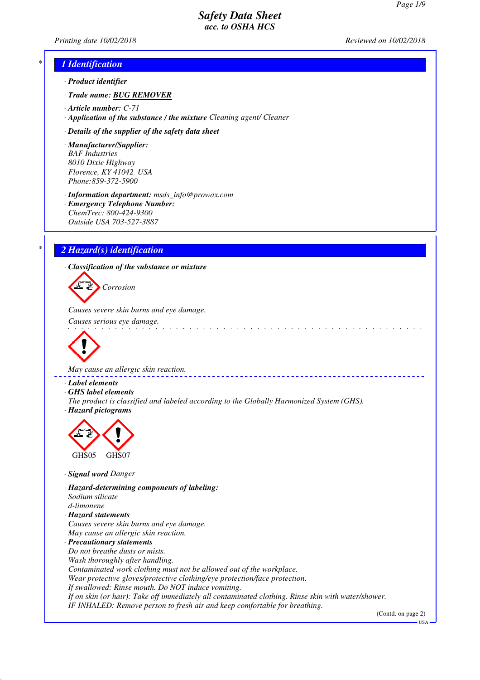*Printing date 10/02/2018 Reviewed on 10/02/2018*

## *\* 1 Identification*

*· Product identifier*

*· Trade name: BUG REMOVER*

- *· Article number: C-71*
- *· Application of the substance / the mixture Cleaning agent/ Cleaner*

#### *· Details of the supplier of the safety data sheet*

*· Manufacturer/Supplier: BAF Industries 8010 Dixie Highway Florence, KY 41042 USA Phone:859-372-5900*

*· Information department: msds\_info@prowax.com*

*· Emergency Telephone Number: ChemTrec: 800-424-9300 Outside USA 703-527-3887*

## *\* 2 Hazard(s) identification*

*· Classification of the substance or mixture*

*Corrosion*

*Causes severe skin burns and eye damage.* 

*Causes serious eye damage.* 



*May cause an allergic skin reaction.* 

- *· Label elements*
- *· GHS label elements*
- *The product is classified and labeled according to the Globally Harmonized System (GHS). · Hazard pictograms*



- *· Signal word Danger*
- *· Hazard-determining components of labeling: Sodium silicate d-limonene · Hazard statements*
- *Causes severe skin burns and eye damage. May cause an allergic skin reaction.*

*· Precautionary statements Do not breathe dusts or mists. Wash thoroughly after handling. Contaminated work clothing must not be allowed out of the workplace. Wear protective gloves/protective clothing/eye protection/face protection. If swallowed: Rinse mouth. Do NOT induce vomiting. If on skin (or hair): Take off immediately all contaminated clothing. Rinse skin with water/shower. IF INHALED: Remove person to fresh air and keep comfortable for breathing.*

(Contd. on page 2)

USA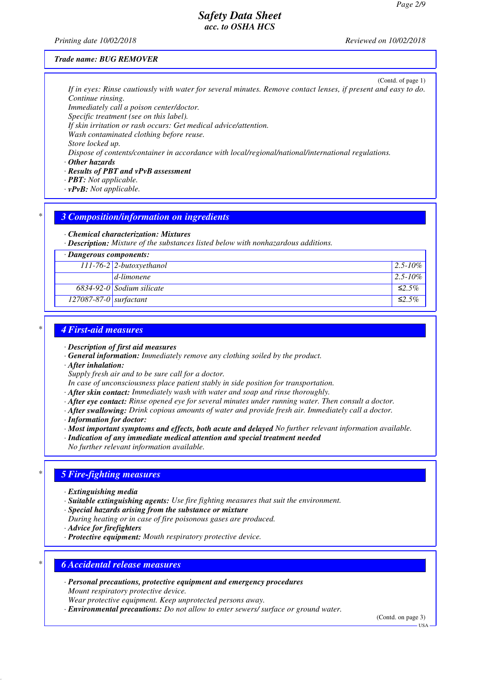*Printing date 10/02/2018 Reviewed on 10/02/2018*

#### *Trade name: BUG REMOVER*

(Contd. of page 1) *If in eyes: Rinse cautiously with water for several minutes. Remove contact lenses, if present and easy to do. Continue rinsing.*

*Immediately call a poison center/doctor.*

*Specific treatment (see on this label).*

*If skin irritation or rash occurs: Get medical advice/attention.*

*Wash contaminated clothing before reuse. Store locked up.*

*Dispose of contents/container in accordance with local/regional/national/international regulations.*

*· Other hazards*

*· Results of PBT and vPvB assessment*

*· PBT: Not applicable.*

*· vPvB: Not applicable.*

### *\* 3 Composition/information on ingredients*

*· Chemical characterization: Mixtures*

*· Description: Mixture of the substances listed below with nonhazardous additions.*

*· Dangerous components:*

|                          | $111-76-2$ 2-butoxyethanol  | $12.5 - 10\%$ . |
|--------------------------|-----------------------------|-----------------|
|                          | $d$ -limonene               | $12.5 - 10\%$   |
|                          | $6834-92-0$ Sodium silicate | $\leq 2.5\%$    |
| $127087-87-0$ surfactant |                             | $\leq 2.5\%$    |

### *\* 4 First-aid measures*

*· Description of first aid measures*

- *· General information: Immediately remove any clothing soiled by the product.*
- *· After inhalation:*

*Supply fresh air and to be sure call for a doctor.*

- *In case of unconsciousness place patient stably in side position for transportation.*
- *· After skin contact: Immediately wash with water and soap and rinse thoroughly.*
- *· After eye contact: Rinse opened eye for several minutes under running water. Then consult a doctor.*
- *· After swallowing: Drink copious amounts of water and provide fresh air. Immediately call a doctor.*
- *· Information for doctor:*
- *· Most important symptoms and effects, both acute and delayed No further relevant information available.*

*· Indication of any immediate medical attention and special treatment needed*

*No further relevant information available.*

## *\* 5 Fire-fighting measures*

- *· Extinguishing media*
- *· Suitable extinguishing agents: Use fire fighting measures that suit the environment.*
- *· Special hazards arising from the substance or mixture*
- *During heating or in case of fire poisonous gases are produced.*
- *· Advice for firefighters*
- *· Protective equipment: Mouth respiratory protective device.*

### *\* 6 Accidental release measures*

*· Personal precautions, protective equipment and emergency procedures Mount respiratory protective device.*

*Wear protective equipment. Keep unprotected persons away.*

*· Environmental precautions: Do not allow to enter sewers/ surface or ground water.*

(Contd. on page 3)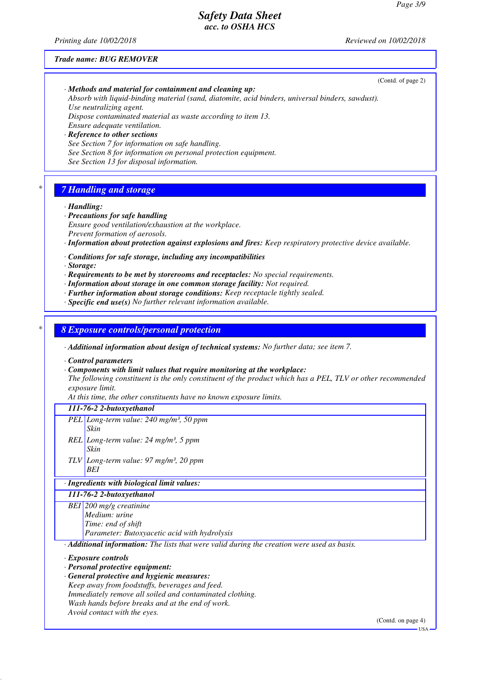*Printing date 10/02/2018 Reviewed on 10/02/2018*

#### *Trade name: BUG REMOVER*

*Use neutralizing agent. Dispose contaminated material as waste according to item 13. Ensure adequate ventilation. · Reference to other sections See Section 7 for information on safe handling. See Section 8 for information on personal protection equipment. See Section 13 for disposal information. \* 7 Handling and storage · Handling: · Precautions for safe handling Ensure good ventilation/exhaustion at the workplace. Prevent formation of aerosols. · Information about protection against explosions and fires: Keep respiratory protective device available.*

*Absorb with liquid-binding material (sand, diatomite, acid binders, universal binders, sawdust).*

*· Conditions for safe storage, including any incompatibilities*

*· Methods and material for containment and cleaning up:*

*· Storage:*

*· Requirements to be met by storerooms and receptacles: No special requirements.*

*· Information about storage in one common storage facility: Not required.*

*· Further information about storage conditions: Keep receptacle tightly sealed.*

*· Specific end use(s) No further relevant information available.*

*\* 8 Exposure controls/personal protection*

*· Additional information about design of technical systems: No further data; see item 7.*

*· Control parameters*

*· Components with limit values that require monitoring at the workplace:*

*The following constituent is the only constituent of the product which has a PEL, TLV or other recommended exposure limit.*

*At this time, the other constituents have no known exposure limits.*

*111-76-2 2-butoxyethanol*

*PEL Long-term value: 240 mg/m³, 50 ppm Skin*

- *REL Long-term value: 24 mg/m³, 5 ppm Skin*
- *TLV Long-term value: 97 mg/m³, 20 ppm BEI*

*· Ingredients with biological limit values:*

*111-76-2 2-butoxyethanol*

*BEI 200 mg/g creatinine*

*Medium: urine*

*Time: end of shift*

*Parameter: Butoxyacetic acid with hydrolysis*

*· Additional information: The lists that were valid during the creation were used as basis.*

*· Exposure controls*

*· Personal protective equipment:*

- *· General protective and hygienic measures:*
- *Keep away from foodstuffs, beverages and feed. Immediately remove all soiled and contaminated clothing. Wash hands before breaks and at the end of work.*

*Avoid contact with the eyes.*

(Contd. on page 4)

(Contd. of page 2)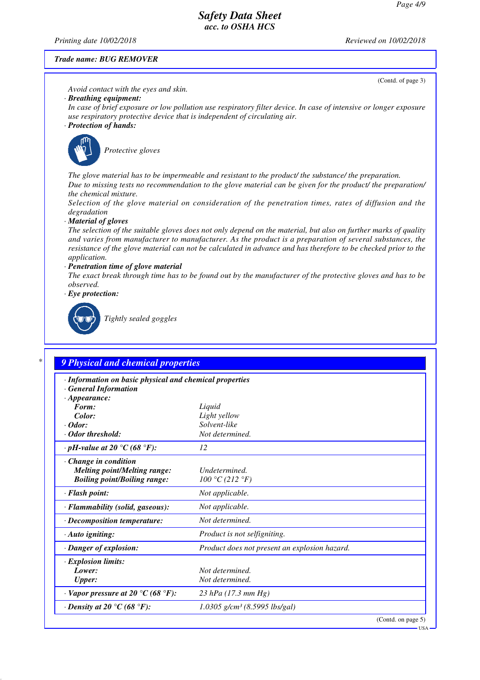*Printing date 10/02/2018 Reviewed on 10/02/2018*

#### *Trade name: BUG REMOVER*

(Contd. of page 3)

#### *Avoid contact with the eyes and skin.*

### *· Breathing equipment:*

*In case of brief exposure or low pollution use respiratory filter device. In case of intensive or longer exposure use respiratory protective device that is independent of circulating air.*

### *· Protection of hands:*



*Protective gloves*

*The glove material has to be impermeable and resistant to the product/ the substance/ the preparation. Due to missing tests no recommendation to the glove material can be given for the product/ the preparation/ the chemical mixture.*

*Selection of the glove material on consideration of the penetration times, rates of diffusion and the degradation*

*· Material of gloves*

*The selection of the suitable gloves does not only depend on the material, but also on further marks of quality and varies from manufacturer to manufacturer. As the product is a preparation of several substances, the resistance of the glove material can not be calculated in advance and has therefore to be checked prior to the application.*

#### *· Penetration time of glove material*

*The exact break through time has to be found out by the manufacturer of the protective gloves and has to be observed.*

*· Eye protection:*



*Tightly sealed goggles*

# *\* 9 Physical and chemical properties*

| · Information on basic physical and chemical properties |                                               |  |
|---------------------------------------------------------|-----------------------------------------------|--|
| <b>General Information</b><br>$\cdot$ Appearance:       |                                               |  |
| Form:                                                   | Liquid                                        |  |
| Color:                                                  | Light yellow                                  |  |
| $\cdot$ Odor:                                           | Solvent-like                                  |  |
| $\cdot$ Odor threshold:                                 | Not determined.                               |  |
| $\cdot$ pH-value at 20 $\degree$ C (68 $\degree$ F):    | 12                                            |  |
| $\cdot$ Change in condition                             |                                               |  |
| <b>Melting point/Melting range:</b>                     | Undetermined.                                 |  |
| <b>Boiling point/Boiling range:</b>                     | 100 °C (212 °F)                               |  |
| · Flash point:                                          | Not applicable.                               |  |
| · Flammability (solid, gaseous):                        | Not applicable.                               |  |
| · Decomposition temperature:                            | Not determined.                               |  |
| $\cdot$ Auto igniting:                                  | Product is not selfigniting.                  |  |
| · Danger of explosion:                                  | Product does not present an explosion hazard. |  |
| $\cdot$ Explosion limits:                               |                                               |  |
| Lower:                                                  | Not determined.                               |  |
| <b>Upper:</b>                                           | Not determined.                               |  |
| $\cdot$ Vapor pressure at 20 °C (68 °F):                | 23 hPa (17.3 mm Hg)                           |  |
| $\cdot$ Density at 20 $\degree$ C (68 $\degree$ F):     | $1.0305$ g/cm <sup>3</sup> (8.5995 lbs/gal)   |  |
|                                                         | $(Contd)$ on nogo $5$ )                       |  |

(Contd. on page 5)

USA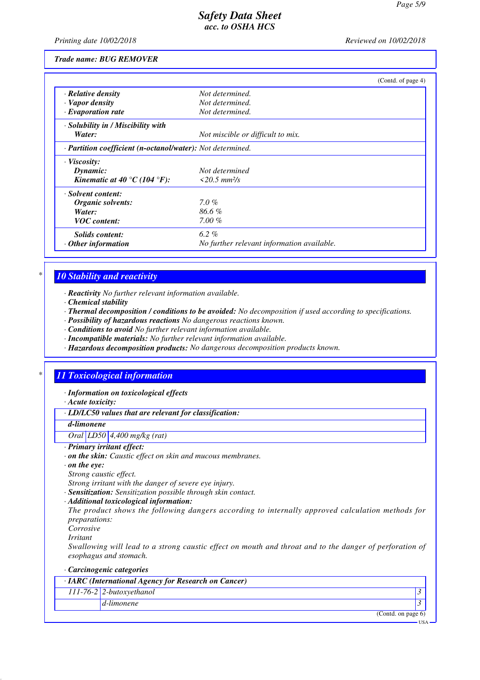USA

# *Safety Data Sheet acc. to OSHA HCS*

*Printing date 10/02/2018 Reviewed on 10/02/2018*

*Trade name: BUG REMOVER*

|                                                            | (Contd. of page 4)                         |  |  |  |
|------------------------------------------------------------|--------------------------------------------|--|--|--|
| $\cdot$ Relative density                                   | Not determined.                            |  |  |  |
| · Vapor density                                            | Not determined.                            |  |  |  |
| $\cdot$ Evaporation rate                                   | Not determined.                            |  |  |  |
| · Solubility in / Miscibility with                         |                                            |  |  |  |
| Water:                                                     | Not miscible or difficult to mix.          |  |  |  |
| · Partition coefficient (n-octanol/water): Not determined. |                                            |  |  |  |
| $\cdot$ Viscosity:                                         |                                            |  |  |  |
| Dynamic:                                                   | Not determined                             |  |  |  |
| Kinematic at 40 °C (104 °F):                               | $\langle 20.5 \, \text{mm}^2/\text{s}$     |  |  |  |
| · Solvent content:                                         |                                            |  |  |  |
| Organic solvents:                                          | $7.0 \%$                                   |  |  |  |
| Water:                                                     | 86.6%                                      |  |  |  |
| <b>VOC</b> content:                                        | $7.00\%$                                   |  |  |  |
| Solids content:                                            | 6.2%                                       |  |  |  |
| $\cdot$ Other information                                  | No further relevant information available. |  |  |  |

### *\* 10 Stability and reactivity*

*· Reactivity No further relevant information available.*

*· Chemical stability*

*· Thermal decomposition / conditions to be avoided: No decomposition if used according to specifications.*

- *· Possibility of hazardous reactions No dangerous reactions known.*
- *· Conditions to avoid No further relevant information available.*
- *· Incompatible materials: No further relevant information available.*
- *· Hazardous decomposition products: No dangerous decomposition products known.*

## *\* 11 Toxicological information*

*· Information on toxicological effects*

*· Acute toxicity:*

*· LD/LC50 values that are relevant for classification:*

#### *d-limonene*

*Oral LD50 4,400 mg/kg (rat)*

*· Primary irritant effect:*

*· on the skin: Caustic effect on skin and mucous membranes.*

*· on the eye:*

*Strong caustic effect.*

*Strong irritant with the danger of severe eye injury.*

*· Sensitization: Sensitization possible through skin contact.*

*· Additional toxicological information:*

*The product shows the following dangers according to internally approved calculation methods for preparations:*

*Corrosive*

*Irritant*

*Swallowing will lead to a strong caustic effect on mouth and throat and to the danger of perforation of esophagus and stomach.*

| Carcinogenic categories                              |                       |
|------------------------------------------------------|-----------------------|
| · IARC (International Agency for Research on Cancer) |                       |
| $111-76-2$ 2-butoxyethanol                           |                       |
| d-limonene                                           |                       |
|                                                      | (Contd. on page $6$ ) |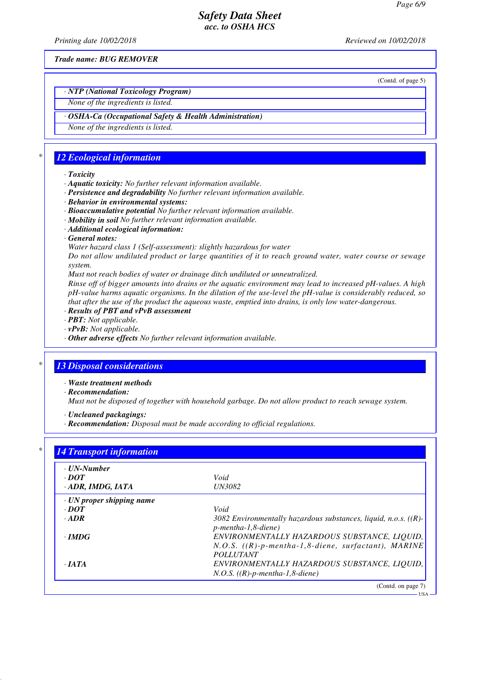*Printing date 10/02/2018 Reviewed on 10/02/2018*

*Trade name: BUG REMOVER*

(Contd. of page 5)

# *· NTP (National Toxicology Program)*

# *None of the ingredients is listed.*

### *· OSHA-Ca (Occupational Safety & Health Administration)*

*None of the ingredients is listed.*

### *\* 12 Ecological information*

#### *· Toxicity*

- *· Aquatic toxicity: No further relevant information available.*
- *· Persistence and degradability No further relevant information available.*
- *· Behavior in environmental systems:*
- *· Bioaccumulative potential No further relevant information available.*
- *· Mobility in soil No further relevant information available.*
- *· Additional ecological information:*
- *· General notes:*

*Water hazard class 1 (Self-assessment): slightly hazardous for water*

*Do not allow undiluted product or large quantities of it to reach ground water, water course or sewage system.*

*Must not reach bodies of water or drainage ditch undiluted or unneutralized.*

*Rinse off of bigger amounts into drains or the aquatic environment may lead to increased pH-values. A high pH-value harms aquatic organisms. In the dilution of the use-level the pH-value is considerably reduced, so that after the use of the product the aqueous waste, emptied into drains, is only low water-dangerous.*

- *· Results of PBT and vPvB assessment*
- *· PBT: Not applicable.*
- *· vPvB: Not applicable.*
- *· Other adverse effects No further relevant information available.*

# *\* 13 Disposal considerations*

- *· Waste treatment methods*
- *· Recommendation:*

*Must not be disposed of together with household garbage. Do not allow product to reach sewage system.*

- *· Uncleaned packagings:*
- *· Recommendation: Disposal must be made according to official regulations.*

| $\cdot$ UN-Number               |                                                                                                       |
|---------------------------------|-------------------------------------------------------------------------------------------------------|
| $\cdot$ <i>DOT</i>              | Void                                                                                                  |
| · ADR, IMDG, IATA               | <b>UN3082</b>                                                                                         |
| $\cdot$ UN proper shipping name |                                                                                                       |
| $\cdot$ DOT                     | Void                                                                                                  |
| $\cdot$ ADR                     | 3082 Environmentally hazardous substances, liquid, n.o.s. $((R)-$<br>$p$ -mentha-1,8-diene)           |
| $\cdot$ IMDG                    | ENVIRONMENTALLY HAZARDOUS SUBSTANCE, LIQUID,<br>$N.O.S.$ ((R)-p-mentha-1,8-diene, surfactant), MARINE |
| $\cdot$ JATA                    | <b>POLLUTANT</b><br>ENVIRONMENTALLY HAZARDOUS SUBSTANCE, LIQUID,<br>$N.O.S.$ ((R)-p-mentha-1,8-diene) |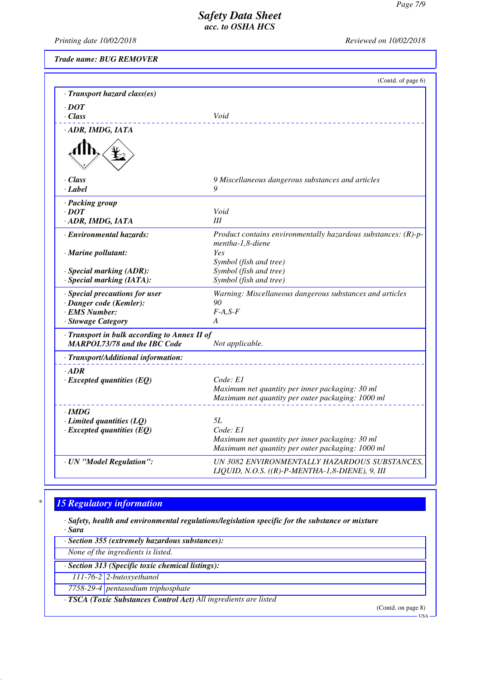*Printing date 10/02/2018 Reviewed on 10/02/2018*

*Trade name: BUG REMOVER*

|                                                                                     | (Contd. of page 6)                                                                                   |
|-------------------------------------------------------------------------------------|------------------------------------------------------------------------------------------------------|
| · Transport hazard class(es)                                                        |                                                                                                      |
| $\cdot$ DOT                                                                         |                                                                                                      |
| $\cdot$ Class                                                                       | Void                                                                                                 |
| · ADR, IMDG, IATA                                                                   |                                                                                                      |
|                                                                                     |                                                                                                      |
| · Class                                                                             | 9 Miscellaneous dangerous substances and articles                                                    |
| · Label                                                                             | 9                                                                                                    |
| · Packing group                                                                     |                                                                                                      |
| $\cdot$ DOT                                                                         | Void                                                                                                 |
| · ADR, IMDG, IATA                                                                   | Ш                                                                                                    |
| · Environmental hazards:                                                            | Product contains environmentally hazardous substances: $(R)-p-$<br>mentha-1,8-diene                  |
| $\cdot$ Marine pollutant:                                                           | Yes<br>Symbol (fish and tree)                                                                        |
| · Special marking (ADR):                                                            | Symbol (fish and tree)                                                                               |
| $\cdot$ Special marking (IATA):                                                     | Symbol (fish and tree)                                                                               |
| · Special precautions for user                                                      | Warning: Miscellaneous dangerous substances and articles                                             |
| · Danger code (Kemler):                                                             | 90                                                                                                   |
| · EMS Number:                                                                       | $F-A, S-F$                                                                                           |
| · Stowage Category                                                                  | A                                                                                                    |
| · Transport in bulk according to Annex II of<br><b>MARPOL73/78 and the IBC Code</b> | Not applicable.                                                                                      |
|                                                                                     |                                                                                                      |
| · Transport/Additional information:                                                 |                                                                                                      |
| $-ADR$                                                                              |                                                                                                      |
| $\cdot$ Excepted quantities (EQ)                                                    | Code: E1                                                                                             |
|                                                                                     | Maximum net quantity per inner packaging: 30 ml<br>Maximum net quantity per outer packaging: 1000 ml |
|                                                                                     |                                                                                                      |
| $\cdot$ IMDG                                                                        |                                                                                                      |
| $\cdot$ Limited quantities (LQ)                                                     | 5L<br>Code: El                                                                                       |
| $\cdot$ Excepted quantities (EQ)                                                    | Maximum net quantity per inner packaging: 30 ml                                                      |
|                                                                                     | Maximum net quantity per outer packaging: 1000 ml                                                    |
|                                                                                     | UN 3082 ENVIRONMENTALLY HAZARDOUS SUBSTANCES.                                                        |
| · UN "Model Regulation":                                                            | LIQUID, N.O.S. $((R)-P-MENTHA-1,8-DIENE)$ , 9, III                                                   |

# *\* 15 Regulatory information*

*· Safety, health and environmental regulations/legislation specific for the substance or mixture*

*· Sara*

*· Section 355 (extremely hazardous substances):*

*None of the ingredients is listed.*

*· Section 313 (Specific toxic chemical listings):*

*111-76-2 2-butoxyethanol*

*7758-29-4 pentasodium triphosphate*

*· TSCA (Toxic Substances Control Act) All ingredients are listed*

(Contd. on page 8)

 $-<sup>1</sup>$ ISA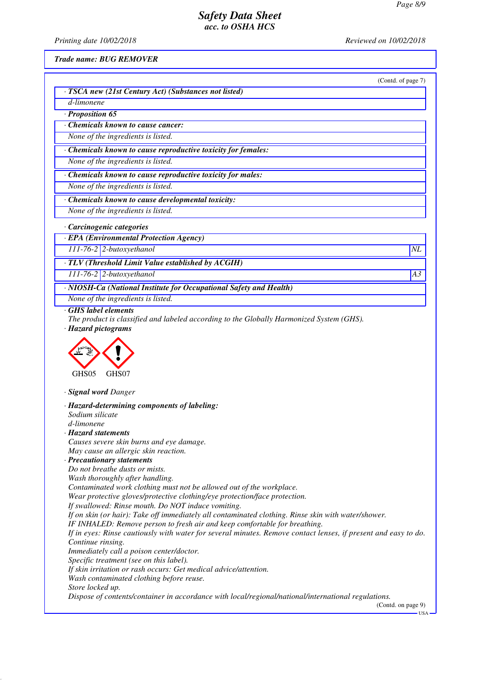*Printing date 10/02/2018 Reviewed on 10/02/2018*

*Trade name: BUG REMOVER*

|                                                                                                                                                           | (Contd. of page 7) |
|-----------------------------------------------------------------------------------------------------------------------------------------------------------|--------------------|
| · TSCA new (21st Century Act) (Substances not listed)                                                                                                     |                    |
| d-limonene                                                                                                                                                |                    |
| · Proposition 65                                                                                                                                          |                    |
| <b>Chemicals known to cause cancer:</b>                                                                                                                   |                    |
| None of the ingredients is listed.                                                                                                                        |                    |
| · Chemicals known to cause reproductive toxicity for females:                                                                                             |                    |
| None of the ingredients is listed.                                                                                                                        |                    |
| · Chemicals known to cause reproductive toxicity for males:                                                                                               |                    |
| None of the ingredients is listed.                                                                                                                        |                    |
| · Chemicals known to cause developmental toxicity:                                                                                                        |                    |
| None of the ingredients is listed.                                                                                                                        |                    |
| · Carcinogenic categories                                                                                                                                 |                    |
| · EPA (Environmental Protection Agency)                                                                                                                   |                    |
| 111-76-2 2-butoxyethanol                                                                                                                                  | NL                 |
| · TLV (Threshold Limit Value established by ACGIH)                                                                                                        |                    |
| $111-76-2$ 2-butoxyethanol                                                                                                                                | A3                 |
| · NIOSH-Ca (National Institute for Occupational Safety and Health)                                                                                        |                    |
| None of the ingredients is listed.                                                                                                                        |                    |
| GHS05<br>GHS07                                                                                                                                            |                    |
| · Signal word Danger                                                                                                                                      |                    |
| · Hazard-determining components of labeling:<br>Sodium silicate<br>d-limonene                                                                             |                    |
| <b>Hazard statements</b>                                                                                                                                  |                    |
| Causes severe skin burns and eye damage.                                                                                                                  |                    |
| May cause an allergic skin reaction.<br>· Precautionary statements                                                                                        |                    |
| Do not breathe dusts or mists.                                                                                                                            |                    |
| Wash thoroughly after handling.                                                                                                                           |                    |
| Contaminated work clothing must not be allowed out of the workplace.                                                                                      |                    |
| Wear protective gloves/protective clothing/eye protection/face protection.                                                                                |                    |
| If swallowed: Rinse mouth. Do NOT induce vomiting.<br>If on skin (or hair): Take off immediately all contaminated clothing. Rinse skin with water/shower. |                    |
| IF INHALED: Remove person to fresh air and keep comfortable for breathing.                                                                                |                    |
| If in eyes: Rinse cautiously with water for several minutes. Remove contact lenses, if present and easy to do.                                            |                    |
| Continue rinsing.                                                                                                                                         |                    |
| Immediately call a poison center/doctor.                                                                                                                  |                    |
| Specific treatment (see on this label).                                                                                                                   |                    |
| If skin irritation or rash occurs: Get medical advice/attention.<br>Wash contaminated clothing before reuse.                                              |                    |
| Store locked up.                                                                                                                                          |                    |
| Dispose of contents/container in accordance with local/regional/national/international regulations.                                                       | (Contd. on page 9) |